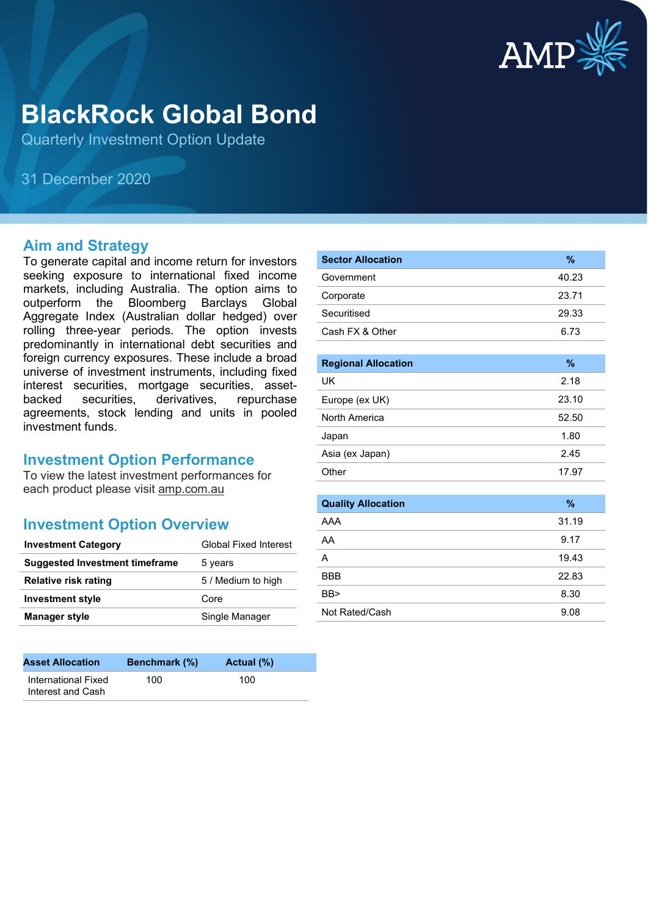

# **BlackRock Global Bond**

Quarterly Investment Option Update

31 December 2020

#### **Aim and Strategy**

To generate capital and income return for investors seeking exposure to international fixed income markets, including Australia. The option aims to outperform the Bloomberg Barclays Global Aggregate Index (Australian dollar hedged) over rolling three-year periods. The option invests predominantly in international debt securities and foreign currency exposures. These include a broad universe of investment instruments, including fixed interest securities, mortgage securities, assetbacked securities, derivatives, repurchase agreements, stock lending and units in pooled investment funds.

#### **Investment Option Performance**

To view the latest investment performances for each product please visit amp.com.au

#### **Investment Option Overview**

| <b>Investment Category</b>            | <b>Global Fixed Interest</b> |
|---------------------------------------|------------------------------|
| <b>Suggested Investment timeframe</b> | 5 years                      |
| Relative risk rating                  | 5 / Medium to high           |
| <b>Investment style</b>               | Core                         |
| <b>Manager style</b>                  | Single Manager               |

| <b>Asset Allocation</b>                  | <b>Benchmark</b> (%) | Actual (%) |  |
|------------------------------------------|----------------------|------------|--|
| International Fixed<br>Interest and Cash | 100                  | 100        |  |

| <b>Sector Allocation</b> | %     |
|--------------------------|-------|
| Government               | 40.23 |
| Corporate                | 23.71 |
| Securitised              | 29.33 |
| Cash FX & Other          | 6.73  |

| <b>Regional Allocation</b> | %     |
|----------------------------|-------|
| UK.                        | 2.18  |
| Europe (ex UK)             | 23.10 |
| North America              | 52.50 |
| Japan                      | 1.80  |
| Asia (ex Japan)            | 2.45  |
| Other                      | 17.97 |

| <b>Quality Allocation</b> | $\%$  |
|---------------------------|-------|
| AAA                       | 31.19 |
| AA                        | 9.17  |
| А                         | 19.43 |
| <b>BBB</b>                | 22.83 |
| BB                        | 8.30  |
| Not Rated/Cash            | 9.08  |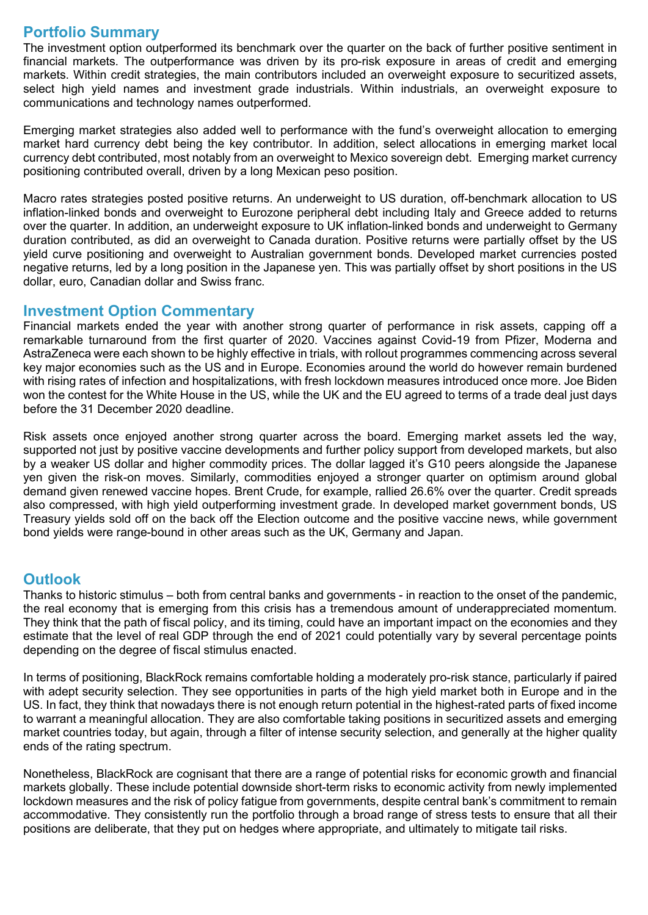## **Portfolio Summary**

The investment option outperformed its benchmark over the quarter on the back of further positive sentiment in financial markets. The outperformance was driven by its pro-risk exposure in areas of credit and emerging markets. Within credit strategies, the main contributors included an overweight exposure to securitized assets, select high yield names and investment grade industrials. Within industrials, an overweight exposure to communications and technology names outperformed.

Emerging market strategies also added well to performance with the fund's overweight allocation to emerging market hard currency debt being the key contributor. In addition, select allocations in emerging market local currency debt contributed, most notably from an overweight to Mexico sovereign debt. Emerging market currency positioning contributed overall, driven by a long Mexican peso position.

Macro rates strategies posted positive returns. An underweight to US duration, off-benchmark allocation to US inflation-linked bonds and overweight to Eurozone peripheral debt including Italy and Greece added to returns over the quarter. In addition, an underweight exposure to UK inflation-linked bonds and underweight to Germany duration contributed, as did an overweight to Canada duration. Positive returns were partially offset by the US yield curve positioning and overweight to Australian government bonds. Developed market currencies posted negative returns, led by a long position in the Japanese yen. This was partially offset by short positions in the US dollar, euro, Canadian dollar and Swiss franc.

#### **Investment Option Commentary**

Financial markets ended the year with another strong quarter of performance in risk assets, capping off a remarkable turnaround from the first quarter of 2020. Vaccines against Covid-19 from Pfizer, Moderna and AstraZeneca were each shown to be highly effective in trials, with rollout programmes commencing across several key major economies such as the US and in Europe. Economies around the world do however remain burdened with rising rates of infection and hospitalizations, with fresh lockdown measures introduced once more. Joe Biden won the contest for the White House in the US, while the UK and the EU agreed to terms of a trade deal just days before the 31 December 2020 deadline.

Risk assets once enjoyed another strong quarter across the board. Emerging market assets led the way, supported not just by positive vaccine developments and further policy support from developed markets, but also by a weaker US dollar and higher commodity prices. The dollar lagged it's G10 peers alongside the Japanese yen given the risk-on moves. Similarly, commodities enjoyed a stronger quarter on optimism around global demand given renewed vaccine hopes. Brent Crude, for example, rallied 26.6% over the quarter. Credit spreads also compressed, with high yield outperforming investment grade. In developed market government bonds, US Treasury yields sold off on the back off the Election outcome and the positive vaccine news, while government bond yields were range-bound in other areas such as the UK, Germany and Japan.

### **Outlook**

Thanks to historic stimulus – both from central banks and governments - in reaction to the onset of the pandemic, the real economy that is emerging from this crisis has a tremendous amount of underappreciated momentum. They think that the path of fiscal policy, and its timing, could have an important impact on the economies and they estimate that the level of real GDP through the end of 2021 could potentially vary by several percentage points depending on the degree of fiscal stimulus enacted.

In terms of positioning, BlackRock remains comfortable holding a moderately pro-risk stance, particularly if paired with adept security selection. They see opportunities in parts of the high yield market both in Europe and in the US. In fact, they think that nowadays there is not enough return potential in the highest-rated parts of fixed income to warrant a meaningful allocation. They are also comfortable taking positions in securitized assets and emerging market countries today, but again, through a filter of intense security selection, and generally at the higher quality ends of the rating spectrum.

Nonetheless, BlackRock are cognisant that there are a range of potential risks for economic growth and financial markets globally. These include potential downside short-term risks to economic activity from newly implemented lockdown measures and the risk of policy fatigue from governments, despite central bank's commitment to remain accommodative. They consistently run the portfolio through a broad range of stress tests to ensure that all their positions are deliberate, that they put on hedges where appropriate, and ultimately to mitigate tail risks.